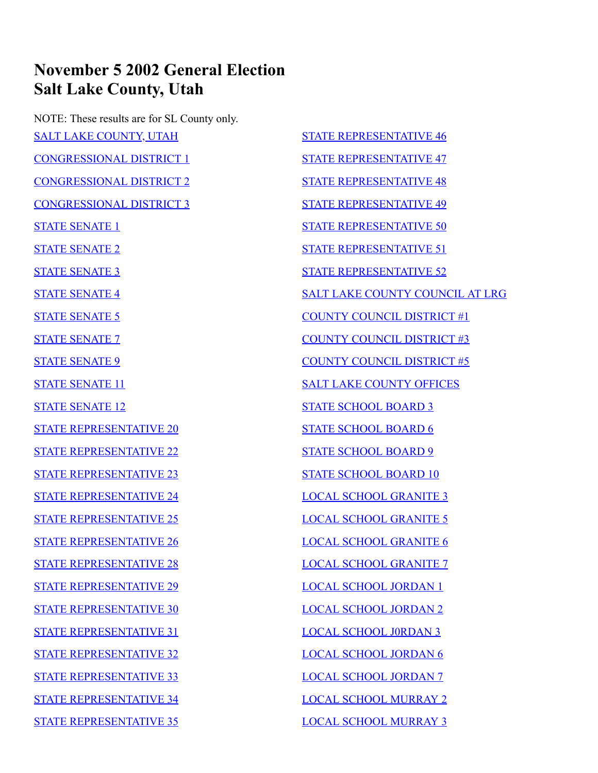## **November 5 2002 General Election Salt Lake County, Utah**

NOTE: These results are for SL County only. [SALT LAKE COUNTY, UTAH](#page-1-0) [CONGRESSIONAL DISTRICT 1](#page-1-1) [CONGRESSIONAL DISTRICT 2](#page-1-2) [CONGRESSIONAL DISTRICT 3](#page-2-0) [STATE SENATE 1](#page-2-1) [STATE SENATE 2](#page-2-2) [STATE SENATE 3](#page-3-0) [STATE SENATE 4](#page-3-1) [STATE SENATE 5](#page-3-2) [STATE SENATE 7](#page-3-3) [STATE SENATE 9](#page-4-0) [STATE SENATE 11](#page-4-1) [STATE SENATE 12](#page-4-2) [STATE REPRESENTATIVE 20](#page-4-3) [STATE REPRESENTATIVE 22](#page-5-0) [STATE REPRESENTATIVE 23](#page-5-1) [STATE REPRESENTATIVE 24](#page-5-2) [STATE REPRESENTATIVE 25](#page-5-3) [STATE REPRESENTATIVE 26](#page-6-0) [STATE REPRESENTATIVE 28](#page-6-1) [STATE REPRESENTATIVE 29](#page-6-2) [STATE REPRESENTATIVE 30](#page-6-3) [STATE REPRESENTATIVE 31](#page-7-0) [STATE REPRESENTATIVE 32](#page-7-1) [STATE REPRESENTATIVE 33](#page-7-2) [STATE REPRESENTATIVE 34](#page-8-0) [STATE REPRESENTATIVE 35](#page-8-1)

[STATE REPRESENTATIVE 46](#page-11-0) [STATE REPRESENTATIVE 47](#page-11-1) [STATE REPRESENTATIVE 48](#page-11-2) [STATE REPRESENTATIVE 49](#page-11-3) [STATE REPRESENTATIVE 50](#page-12-0) [STATE REPRESENTATIVE 51](#page-12-1) [STATE REPRESENTATIVE 52](#page-12-2) [SALT LAKE COUNTY COUNCIL AT LRG](#page-12-3) [COUNTY COUNCIL DISTRICT #1](#page-13-0) [COUNTY COUNCIL DISTRICT #3](#page-13-1) [COUNTY COUNCIL DISTRICT #5](#page-13-2) [SALT LAKE COUNTY OFFICES](#page-13-3) [STATE SCHOOL BOARD 3](#page-15-0) [STATE SCHOOL BOARD 6](#page-15-1) [STATE SCHOOL BOARD 9](#page-15-2) [STATE SCHOOL BOARD 10](#page-15-3) [LOCAL SCHOOL GRANITE 3](#page-16-0) [LOCAL SCHOOL GRANITE 5](#page-16-1) [LOCAL SCHOOL GRANITE 6](#page-16-2) [LOCAL SCHOOL GRANITE 7](#page-16-3) [LOCAL SCHOOL JORDAN 1](#page-17-0) [LOCAL SCHOOL JORDAN 2](#page-17-1) [LOCAL SCHOOL J0RDAN 3](#page-17-2) [LOCAL SCHOOL JORDAN 6](#page-17-3) [LOCAL SCHOOL JORDAN 7](#page-18-0) [LOCAL SCHOOL MURRAY 2](#page-18-1)

[LOCAL SCHOOL MURRAY 3](#page-18-2)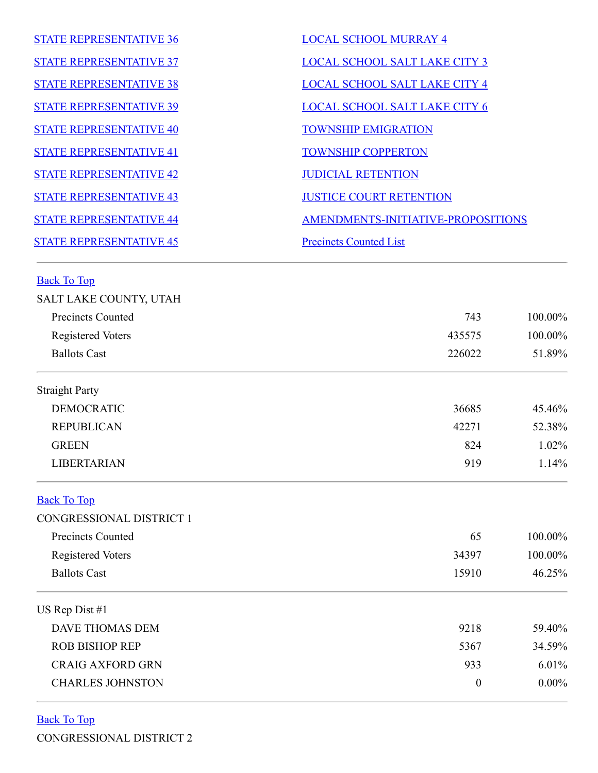| <b>STATE REPRESENTATIVE 36</b> | <b>LOCAL SCHOOL MURRAY 4</b>         |
|--------------------------------|--------------------------------------|
| <b>STATE REPRESENTATIVE 37</b> | <b>LOCAL SCHOOL SALT LAKE CITY 3</b> |
| <b>STATE REPRESENTATIVE 38</b> | <b>LOCAL SCHOOL SALT LAKE CITY 4</b> |
| <b>STATE REPRESENTATIVE 39</b> | LOCAL SCHOOL SALT LAKE CITY 6        |
| <b>STATE REPRESENTATIVE 40</b> | <b>TOWNSHIP EMIGRATION</b>           |
| <b>STATE REPRESENTATIVE 41</b> | <b>TOWNSHIP COPPERTON</b>            |
| <b>STATE REPRESENTATIVE 42</b> | <b>JUDICIAL RETENTION</b>            |
| <b>STATE REPRESENTATIVE 43</b> | <b>JUSTICE COURT RETENTION</b>       |
| <b>STATE REPRESENTATIVE 44</b> | AMENDMENTS-INITIATIVE-PROPOSITIONS   |
| <b>STATE REPRESENTATIVE 45</b> | <b>Precincts Counted List</b>        |
|                                |                                      |

## <span id="page-1-0"></span>Back To Top

<span id="page-1-2"></span><span id="page-1-1"></span>

| SALT LAKE COUNTY, UTAH                               |                  |                    |
|------------------------------------------------------|------------------|--------------------|
| <b>Precincts Counted</b><br><b>Registered Voters</b> | 743              | 100.00%<br>100.00% |
|                                                      | 435575           |                    |
| <b>Ballots Cast</b>                                  | 226022           | 51.89%             |
| <b>Straight Party</b>                                |                  |                    |
| <b>DEMOCRATIC</b>                                    | 36685            | 45.46%             |
| <b>REPUBLICAN</b>                                    | 42271            | 52.38%             |
| <b>GREEN</b>                                         | 824              | 1.02%              |
| <b>LIBERTARIAN</b>                                   | 919              | 1.14%              |
| <b>Back To Top</b>                                   |                  |                    |
| <b>CONGRESSIONAL DISTRICT 1</b>                      |                  |                    |
| Precincts Counted                                    | 65               | 100.00%            |
| <b>Registered Voters</b>                             | 34397            | 100.00%            |
| <b>Ballots Cast</b>                                  | 15910            | 46.25%             |
| US Rep Dist $#1$                                     |                  |                    |
| <b>DAVE THOMAS DEM</b>                               | 9218             | 59.40%             |
| <b>ROB BISHOP REP</b>                                | 5367             | 34.59%             |
| <b>CRAIG AXFORD GRN</b>                              | 933              | 6.01%              |
| <b>CHARLES JOHNSTON</b>                              | $\boldsymbol{0}$ | $0.00\%$           |
|                                                      |                  |                    |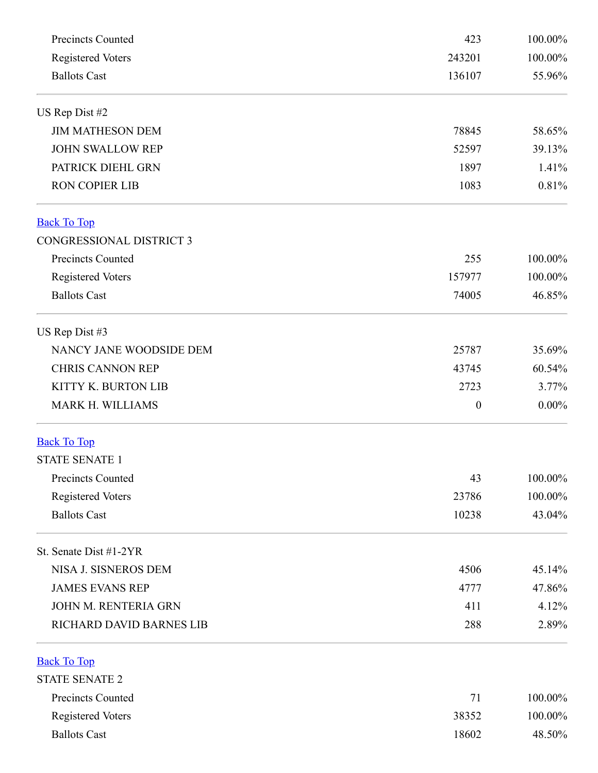<span id="page-2-2"></span><span id="page-2-1"></span><span id="page-2-0"></span>

| Precincts Counted<br><b>Registered Voters</b><br><b>Ballots Cast</b> | 423              | 100.00%<br>100.00%<br>55.96% |
|----------------------------------------------------------------------|------------------|------------------------------|
|                                                                      | 243201           |                              |
|                                                                      | 136107           |                              |
| US Rep Dist #2                                                       |                  |                              |
| <b>JIM MATHESON DEM</b>                                              | 78845            | 58.65%                       |
| <b>JOHN SWALLOW REP</b>                                              | 52597            | 39.13%                       |
| PATRICK DIEHL GRN                                                    | 1897             | 1.41%                        |
| <b>RON COPIER LIB</b>                                                | 1083             | 0.81%                        |
| <b>Back To Top</b>                                                   |                  |                              |
| <b>CONGRESSIONAL DISTRICT 3</b>                                      |                  |                              |
| Precincts Counted                                                    | 255              | 100.00%                      |
| <b>Registered Voters</b>                                             | 157977           | 100.00%                      |
| <b>Ballots Cast</b>                                                  | 74005            | 46.85%                       |
| US Rep Dist #3                                                       |                  |                              |
| NANCY JANE WOODSIDE DEM                                              | 25787            | 35.69%                       |
| <b>CHRIS CANNON REP</b>                                              | 43745            | 60.54%                       |
| KITTY K. BURTON LIB                                                  | 2723             | 3.77%                        |
| MARK H. WILLIAMS                                                     | $\boldsymbol{0}$ | $0.00\%$                     |
| <b>Back To Top</b>                                                   |                  |                              |
| <b>STATE SENATE 1</b>                                                |                  |                              |
| Precincts Counted                                                    | 43               | 100.00%                      |
| <b>Registered Voters</b>                                             | 23786            | 100.00%                      |
| <b>Ballots Cast</b>                                                  | 10238            | 43.04%                       |
| St. Senate Dist #1-2YR                                               |                  |                              |
| NISA J. SISNEROS DEM                                                 | 4506             | 45.14%                       |
| <b>JAMES EVANS REP</b>                                               | 4777             | 47.86%                       |
| JOHN M. RENTERIA GRN                                                 | 411              | 4.12%                        |
| RICHARD DAVID BARNES LIB                                             | 288              | 2.89%                        |
| <b>Back To Top</b>                                                   |                  |                              |
| <b>STATE SENATE 2</b>                                                |                  |                              |
| Precincts Counted                                                    | 71               | 100.00%                      |
| <b>Registered Voters</b>                                             | 38352            | 100.00%                      |
| <b>Ballots Cast</b>                                                  | 18602            | 48.50%                       |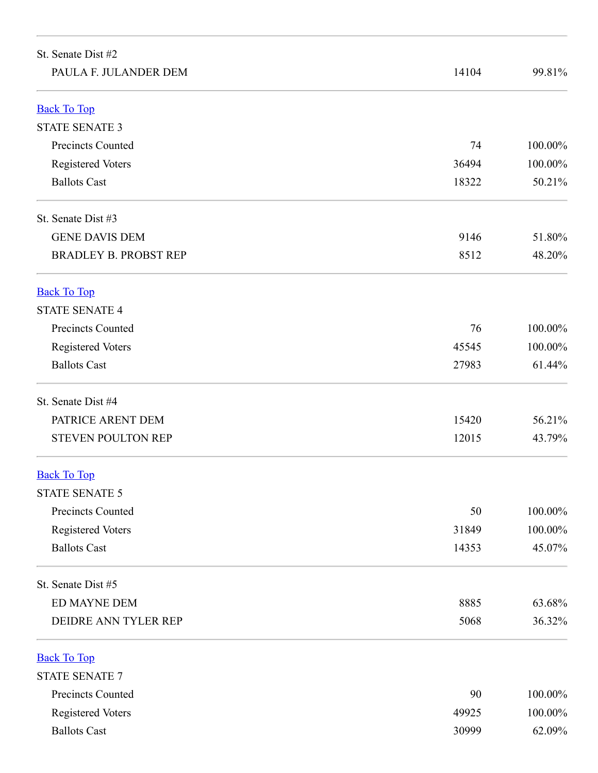<span id="page-3-3"></span><span id="page-3-2"></span><span id="page-3-1"></span><span id="page-3-0"></span>

| St. Senate Dist #2           |       |            |
|------------------------------|-------|------------|
| PAULA F. JULANDER DEM        | 14104 | 99.81%     |
| <b>Back To Top</b>           |       |            |
| <b>STATE SENATE 3</b>        |       |            |
| Precincts Counted            | 74    | 100.00%    |
| Registered Voters            | 36494 | 100.00%    |
| <b>Ballots Cast</b>          | 18322 | 50.21%     |
| St. Senate Dist #3           |       |            |
| <b>GENE DAVIS DEM</b>        | 9146  | 51.80%     |
| <b>BRADLEY B. PROBST REP</b> | 8512  | 48.20%     |
| <b>Back To Top</b>           |       |            |
| <b>STATE SENATE 4</b>        |       |            |
| Precincts Counted            | 76    | 100.00%    |
| <b>Registered Voters</b>     | 45545 | 100.00%    |
| <b>Ballots Cast</b>          | 27983 | 61.44%     |
| St. Senate Dist #4           |       |            |
| PATRICE ARENT DEM            | 15420 | 56.21%     |
| <b>STEVEN POULTON REP</b>    | 12015 | 43.79%     |
| <b>Back To Top</b>           |       |            |
| <b>STATE SENATE 5</b>        |       |            |
| Precincts Counted            | 50    | 100.00%    |
| Registered Voters            | 31849 | $100.00\%$ |
| <b>Ballots Cast</b>          | 14353 | 45.07%     |
| St. Senate Dist #5           |       |            |
| ED MAYNE DEM                 | 8885  | 63.68%     |
| DEIDRE ANN TYLER REP         | 5068  | 36.32%     |
| <b>Back To Top</b>           |       |            |
| <b>STATE SENATE 7</b>        |       |            |
| <b>Precincts Counted</b>     | 90    | 100.00%    |
| <b>Registered Voters</b>     | 49925 | $100.00\%$ |
| <b>Ballots Cast</b>          | 30999 | 62.09%     |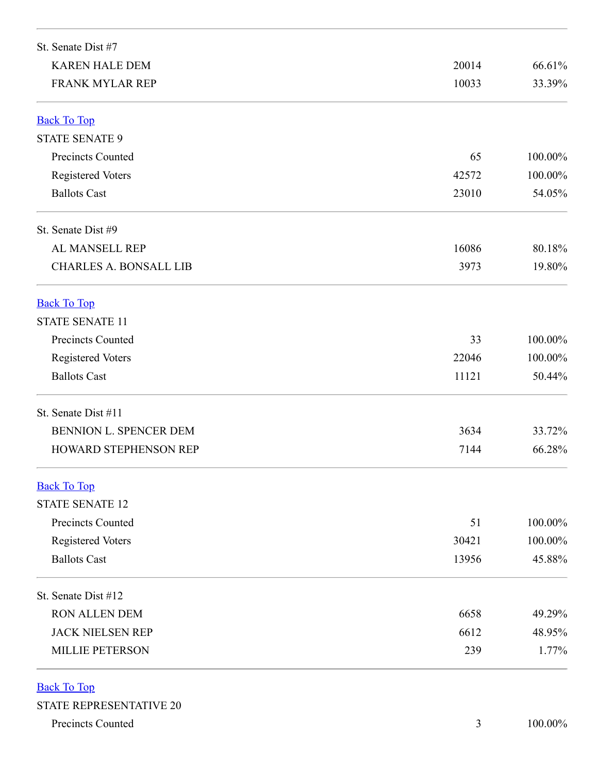<span id="page-4-3"></span><span id="page-4-2"></span><span id="page-4-1"></span><span id="page-4-0"></span>

| St. Senate Dist #7                              |       |         |
|-------------------------------------------------|-------|---------|
| <b>KAREN HALE DEM</b><br><b>FRANK MYLAR REP</b> | 20014 | 66.61%  |
|                                                 | 10033 | 33.39%  |
| <b>Back To Top</b>                              |       |         |
| <b>STATE SENATE 9</b>                           |       |         |
| Precincts Counted                               | 65    | 100.00% |
| <b>Registered Voters</b>                        | 42572 | 100.00% |
| <b>Ballots Cast</b>                             | 23010 | 54.05%  |
| St. Senate Dist #9                              |       |         |
| AL MANSELL REP                                  | 16086 | 80.18%  |
| <b>CHARLES A. BONSALL LIB</b>                   | 3973  | 19.80%  |
| <b>Back To Top</b>                              |       |         |
| <b>STATE SENATE 11</b>                          |       |         |
| Precincts Counted                               | 33    | 100.00% |
| <b>Registered Voters</b>                        | 22046 | 100.00% |
| <b>Ballots Cast</b>                             | 11121 | 50.44%  |
| St. Senate Dist #11                             |       |         |
| BENNION L. SPENCER DEM                          | 3634  | 33.72%  |
| HOWARD STEPHENSON REP                           | 7144  | 66.28%  |
| <b>Back To Top</b>                              |       |         |
| <b>STATE SENATE 12</b>                          |       |         |
| <b>Precincts Counted</b>                        | 51    | 100.00% |
| Registered Voters                               | 30421 | 100.00% |
| <b>Ballots Cast</b>                             | 13956 | 45.88%  |
| St. Senate Dist #12                             |       |         |
| <b>RON ALLEN DEM</b>                            | 6658  | 49.29%  |
| <b>JACK NIELSEN REP</b>                         | 6612  | 48.95%  |
| <b>MILLIE PETERSON</b>                          | 239   | 1.77%   |
| <b>Back To Top</b>                              |       |         |
| <b>STATE REPRESENTATIVE 20</b>                  |       |         |
| Precincts Counted                               | 3     | 100.00% |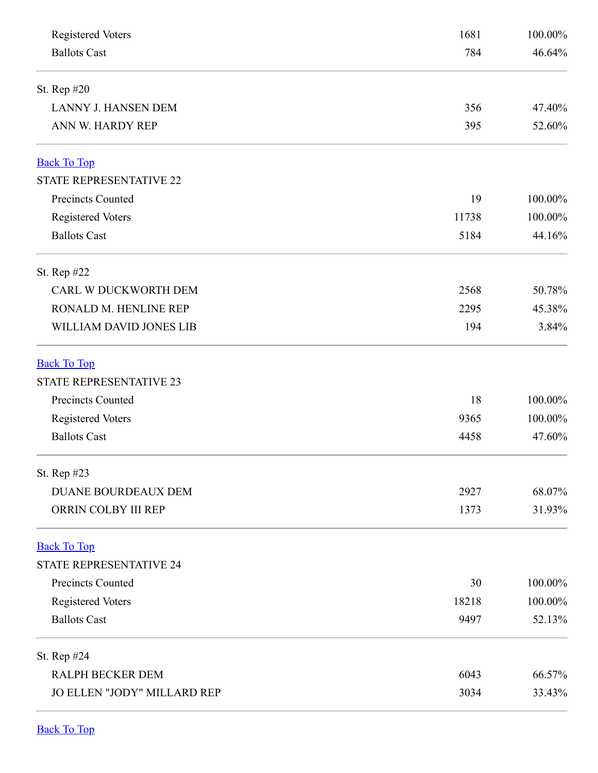<span id="page-5-3"></span><span id="page-5-2"></span><span id="page-5-1"></span><span id="page-5-0"></span>

| JO ELLEN "JODY" MILLARD REP                          | 3034  | 33.43%  |
|------------------------------------------------------|-------|---------|
| RALPH BECKER DEM                                     | 6043  | 66.57%  |
| St. Rep #24                                          |       |         |
| <b>Ballots Cast</b>                                  | 9497  | 52.13%  |
| Registered Voters                                    | 18218 | 100.00% |
| Precincts Counted                                    | 30    | 100.00% |
| <b>STATE REPRESENTATIVE 24</b>                       |       |         |
| <b>Back To Top</b>                                   |       |         |
| ORRIN COLBY III REP                                  | 1373  | 31.93%  |
| <b>DUANE BOURDEAUX DEM</b>                           | 2927  | 68.07%  |
| St. Rep #23                                          |       |         |
| <b>Ballots Cast</b>                                  | 4458  | 47.60%  |
| Registered Voters                                    | 9365  | 100.00% |
| Precincts Counted                                    | 18    | 100.00% |
| <b>Back To Top</b><br><b>STATE REPRESENTATIVE 23</b> |       |         |
|                                                      |       |         |
| WILLIAM DAVID JONES LIB                              | 194   | 3.84%   |
| RONALD M. HENLINE REP                                | 2295  | 45.38%  |
| St. Rep #22<br>CARL W DUCKWORTH DEM                  | 2568  | 50.78%  |
|                                                      |       |         |
| <b>Ballots Cast</b>                                  | 5184  | 44.16%  |
| <b>Registered Voters</b>                             | 11738 | 100.00% |
| STATE REPRESENTATIVE 22<br>Precincts Counted         | 19    | 100.00% |
| <b>Back To Top</b>                                   |       |         |
| ANN W. HARDY REP                                     | 395   | 52.60%  |
| <b>LANNY J. HANSEN DEM</b>                           | 356   | 47.40%  |
| St. Rep #20                                          |       |         |
| <b>Ballots Cast</b>                                  | 784   | 46.64%  |
| <b>Registered Voters</b>                             | 1681  | 100.00% |
|                                                      |       |         |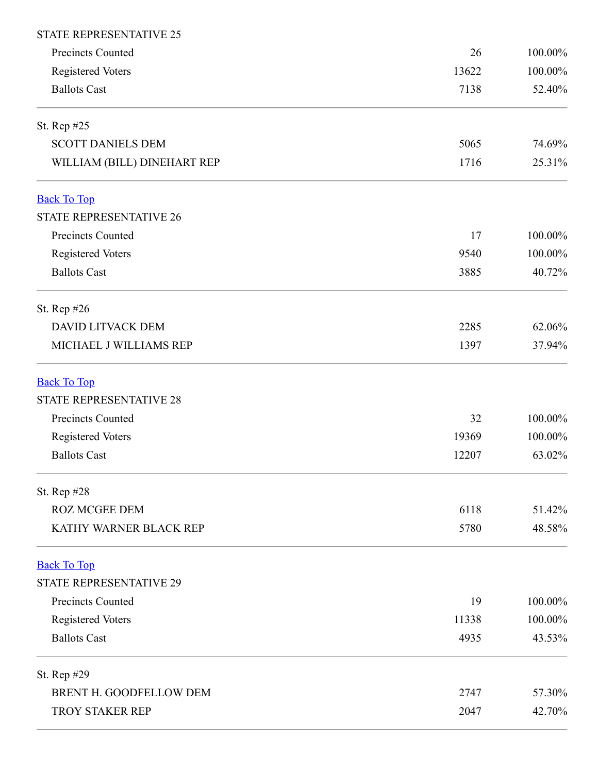<span id="page-6-3"></span><span id="page-6-2"></span><span id="page-6-1"></span><span id="page-6-0"></span>

| <b>STATE REPRESENTATIVE 25</b>         |             |                                 |
|----------------------------------------|-------------|---------------------------------|
| Precincts Counted<br>Registered Voters | 26<br>13622 | $100.00\%$<br>100.00%<br>52.40% |
|                                        |             |                                 |
| St. Rep #25                            |             |                                 |
| <b>SCOTT DANIELS DEM</b>               | 5065        | 74.69%                          |
| WILLIAM (BILL) DINEHART REP            | 1716        | 25.31%                          |
| <b>Back To Top</b>                     |             |                                 |
| <b>STATE REPRESENTATIVE 26</b>         |             |                                 |
| Precincts Counted                      | 17          | 100.00%                         |
| <b>Registered Voters</b>               | 9540        | 100.00%                         |
| <b>Ballots Cast</b>                    | 3885        | 40.72%                          |
| St. Rep #26                            |             |                                 |
| DAVID LITVACK DEM                      | 2285        | 62.06%                          |
| MICHAEL J WILLIAMS REP                 | 1397        | 37.94%                          |
| <b>Back To Top</b>                     |             |                                 |
| <b>STATE REPRESENTATIVE 28</b>         |             |                                 |
| Precincts Counted                      | 32          | 100.00%                         |
| <b>Registered Voters</b>               | 19369       | 100.00%                         |
| <b>Ballots Cast</b>                    | 12207       | 63.02%                          |
| St. Rep #28                            |             |                                 |
| <b>ROZ MCGEE DEM</b>                   | 6118        | 51.42%                          |
| KATHY WARNER BLACK REP                 | 5780        | 48.58%                          |
| <b>Back To Top</b>                     |             |                                 |
| <b>STATE REPRESENTATIVE 29</b>         |             |                                 |
| Precincts Counted                      | 19          | 100.00%                         |
| Registered Voters                      | 11338       | 100.00%                         |
| <b>Ballots Cast</b>                    | 4935        | 43.53%                          |
| St. Rep #29                            |             |                                 |
| BRENT H. GOODFELLOW DEM                | 2747        | 57.30%                          |
| TROY STAKER REP                        | 2047        | 42.70%                          |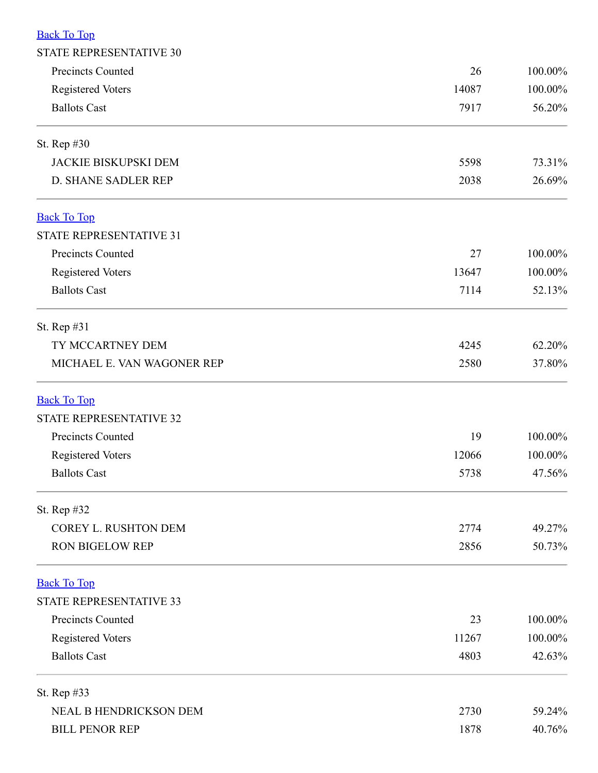<span id="page-7-2"></span><span id="page-7-1"></span><span id="page-7-0"></span>

| <b>Back To Top</b>             |       |         |
|--------------------------------|-------|---------|
| STATE REPRESENTATIVE 30        |       |         |
| Precincts Counted              | 26    | 100.00% |
| Registered Voters              | 14087 | 100.00% |
| <b>Ballots Cast</b>            | 7917  | 56.20%  |
| St. Rep #30                    |       |         |
| <b>JACKIE BISKUPSKI DEM</b>    | 5598  | 73.31%  |
| D. SHANE SADLER REP            | 2038  | 26.69%  |
| <b>Back To Top</b>             |       |         |
| STATE REPRESENTATIVE 31        |       |         |
| Precincts Counted              | 27    | 100.00% |
| <b>Registered Voters</b>       | 13647 | 100.00% |
| <b>Ballots Cast</b>            | 7114  | 52.13%  |
| St. Rep #31                    |       |         |
| TY MCCARTNEY DEM               | 4245  | 62.20%  |
| MICHAEL E. VAN WAGONER REP     | 2580  | 37.80%  |
| <b>Back To Top</b>             |       |         |
| STATE REPRESENTATIVE 32        |       |         |
| Precincts Counted              | 19    | 100.00% |
| <b>Registered Voters</b>       | 12066 | 100.00% |
| <b>Ballots Cast</b>            | 5738  | 47.56%  |
| St. Rep #32                    |       |         |
| <b>COREY L. RUSHTON DEM</b>    | 2774  | 49.27%  |
| <b>RON BIGELOW REP</b>         | 2856  | 50.73%  |
| <b>Back To Top</b>             |       |         |
| <b>STATE REPRESENTATIVE 33</b> |       |         |
| Precincts Counted              | 23    | 100.00% |
| Registered Voters              | 11267 | 100.00% |
| <b>Ballots Cast</b>            | 4803  | 42.63%  |
| St. Rep #33                    |       |         |
| NEAL B HENDRICKSON DEM         | 2730  | 59.24%  |
| <b>BILL PENOR REP</b>          | 1878  | 40.76%  |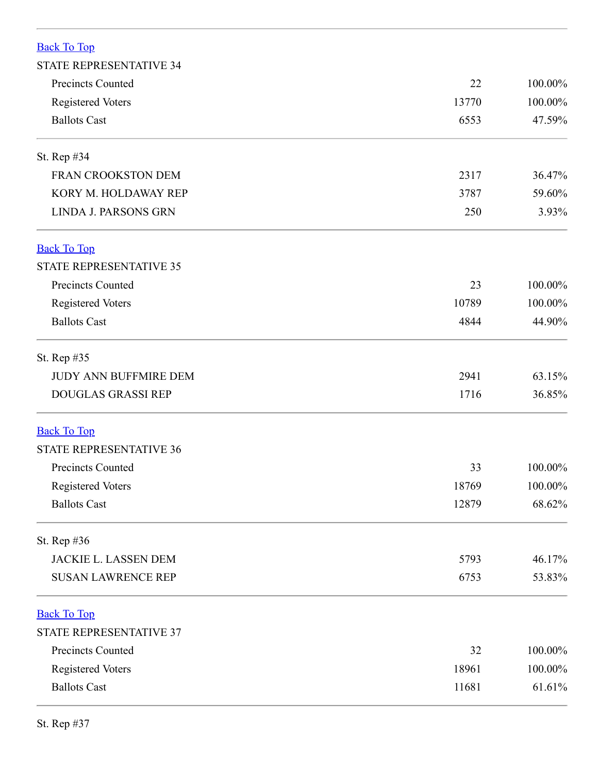<span id="page-8-3"></span><span id="page-8-2"></span><span id="page-8-1"></span><span id="page-8-0"></span>

| <b>Back To Top</b>             |       |         |
|--------------------------------|-------|---------|
| <b>STATE REPRESENTATIVE 34</b> |       |         |
| Precincts Counted              | 22    | 100.00% |
| <b>Registered Voters</b>       | 13770 | 100.00% |
| <b>Ballots Cast</b>            | 6553  | 47.59%  |
| St. Rep #34                    |       |         |
| FRAN CROOKSTON DEM             | 2317  | 36.47%  |
| KORY M. HOLDAWAY REP           | 3787  | 59.60%  |
| LINDA J. PARSONS GRN           | 250   | 3.93%   |
| <b>Back To Top</b>             |       |         |
| <b>STATE REPRESENTATIVE 35</b> |       |         |
| Precincts Counted              | 23    | 100.00% |
| <b>Registered Voters</b>       | 10789 | 100.00% |
| <b>Ballots Cast</b>            | 4844  | 44.90%  |
| St. Rep #35                    |       |         |
| <b>JUDY ANN BUFFMIRE DEM</b>   | 2941  | 63.15%  |
| <b>DOUGLAS GRASSI REP</b>      | 1716  | 36.85%  |
| <b>Back To Top</b>             |       |         |
| <b>STATE REPRESENTATIVE 36</b> |       |         |
| Precincts Counted              | 33    | 100.00% |
| Registered Voters              | 18769 | 100.00% |
| <b>Ballots Cast</b>            | 12879 | 68.62%  |
| St. Rep #36                    |       |         |
| JACKIE L. LASSEN DEM           | 5793  | 46.17%  |
| <b>SUSAN LAWRENCE REP</b>      | 6753  | 53.83%  |
| <b>Back To Top</b>             |       |         |
| STATE REPRESENTATIVE 37        |       |         |
| Precincts Counted              | 32    | 100.00% |
| Registered Voters              | 18961 | 100.00% |
| <b>Ballots Cast</b>            | 11681 | 61.61%  |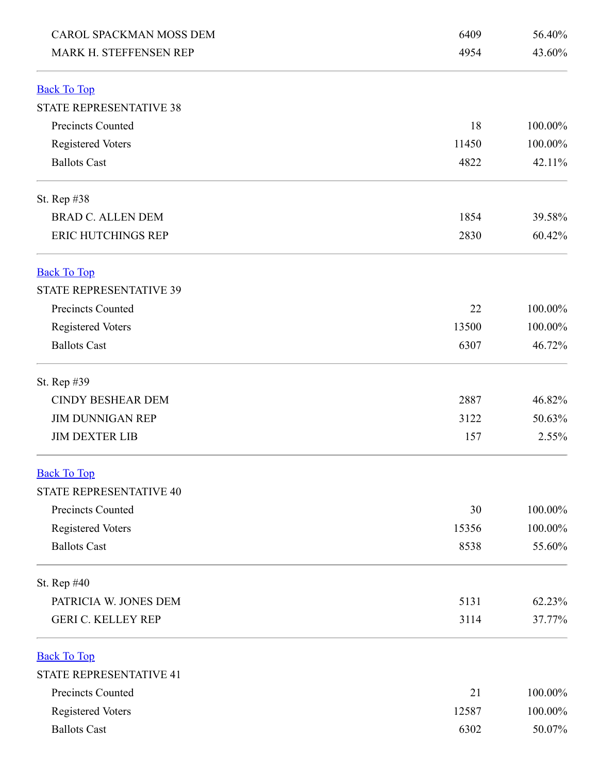<span id="page-9-3"></span><span id="page-9-2"></span><span id="page-9-1"></span><span id="page-9-0"></span>

| <b>CAROL SPACKMAN MOSS DEM</b> | 6409  | 56.40%  |
|--------------------------------|-------|---------|
| MARK H. STEFFENSEN REP         | 4954  | 43.60%  |
| <b>Back To Top</b>             |       |         |
| STATE REPRESENTATIVE 38        |       |         |
| Precincts Counted              | 18    | 100.00% |
| Registered Voters              | 11450 | 100.00% |
| <b>Ballots Cast</b>            | 4822  | 42.11%  |
| St. Rep #38                    |       |         |
| <b>BRAD C. ALLEN DEM</b>       | 1854  | 39.58%  |
| <b>ERIC HUTCHINGS REP</b>      | 2830  | 60.42%  |
| <b>Back To Top</b>             |       |         |
| <b>STATE REPRESENTATIVE 39</b> |       |         |
| Precincts Counted              | 22    | 100.00% |
| <b>Registered Voters</b>       | 13500 | 100.00% |
| <b>Ballots Cast</b>            | 6307  | 46.72%  |
| St. Rep #39                    |       |         |
| <b>CINDY BESHEAR DEM</b>       | 2887  | 46.82%  |
| <b>JIM DUNNIGAN REP</b>        | 3122  | 50.63%  |
| <b>JIM DEXTER LIB</b>          | 157   | 2.55%   |
| <b>Back To Top</b>             |       |         |
| <b>STATE REPRESENTATIVE 40</b> |       |         |
| Precincts Counted              | 30    | 100.00% |
| Registered Voters              | 15356 | 100.00% |
| <b>Ballots Cast</b>            | 8538  | 55.60%  |
| St. Rep #40                    |       |         |
| PATRICIA W. JONES DEM          | 5131  | 62.23%  |
| <b>GERI C. KELLEY REP</b>      | 3114  | 37.77%  |
| <b>Back To Top</b>             |       |         |
| STATE REPRESENTATIVE 41        |       |         |
| <b>Precincts Counted</b>       | 21    | 100.00% |
| <b>Registered Voters</b>       | 12587 | 100.00% |
| <b>Ballots Cast</b>            | 6302  | 50.07%  |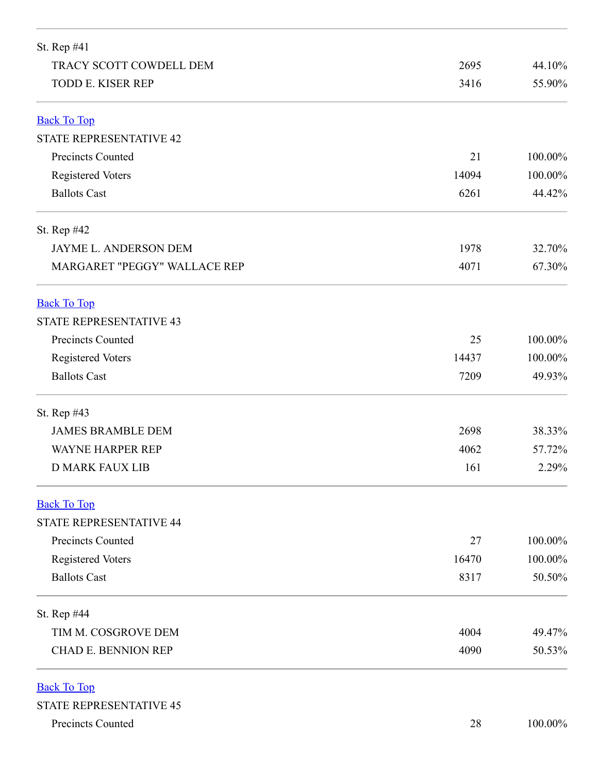<span id="page-10-3"></span><span id="page-10-2"></span><span id="page-10-1"></span><span id="page-10-0"></span>

| St. Rep #41                                  |       |         |
|----------------------------------------------|-------|---------|
| TRACY SCOTT COWDELL DEM<br>TODD E. KISER REP | 2695  | 44.10%  |
|                                              | 3416  | 55.90%  |
| <b>Back To Top</b>                           |       |         |
| <b>STATE REPRESENTATIVE 42</b>               |       |         |
| <b>Precincts Counted</b>                     | 21    | 100.00% |
| Registered Voters                            | 14094 | 100.00% |
| <b>Ballots Cast</b>                          | 6261  | 44.42%  |
| St. Rep #42                                  |       |         |
| <b>JAYME L. ANDERSON DEM</b>                 | 1978  | 32.70%  |
| MARGARET "PEGGY" WALLACE REP                 | 4071  | 67.30%  |
| <b>Back To Top</b>                           |       |         |
| <b>STATE REPRESENTATIVE 43</b>               |       |         |
| Precincts Counted                            | 25    | 100.00% |
| <b>Registered Voters</b>                     | 14437 | 100.00% |
| <b>Ballots Cast</b>                          | 7209  | 49.93%  |
| St. Rep #43                                  |       |         |
| <b>JAMES BRAMBLE DEM</b>                     | 2698  | 38.33%  |
| <b>WAYNE HARPER REP</b>                      | 4062  | 57.72%  |
| <b>D MARK FAUX LIB</b>                       | 161   | 2.29%   |
| <b>Back To Top</b>                           |       |         |
| STATE REPRESENTATIVE 44                      |       |         |
| Precincts Counted                            | 27    | 100.00% |
| Registered Voters                            | 16470 | 100.00% |
| <b>Ballots Cast</b>                          | 8317  | 50.50%  |
| St. Rep #44                                  |       |         |
| TIM M. COSGROVE DEM                          | 4004  | 49.47%  |
| <b>CHAD E. BENNION REP</b>                   | 4090  | 50.53%  |
| <b>Back To Top</b>                           |       |         |
| <b>STATE REPRESENTATIVE 45</b>               |       |         |
| Precincts Counted                            | 28    | 100.00% |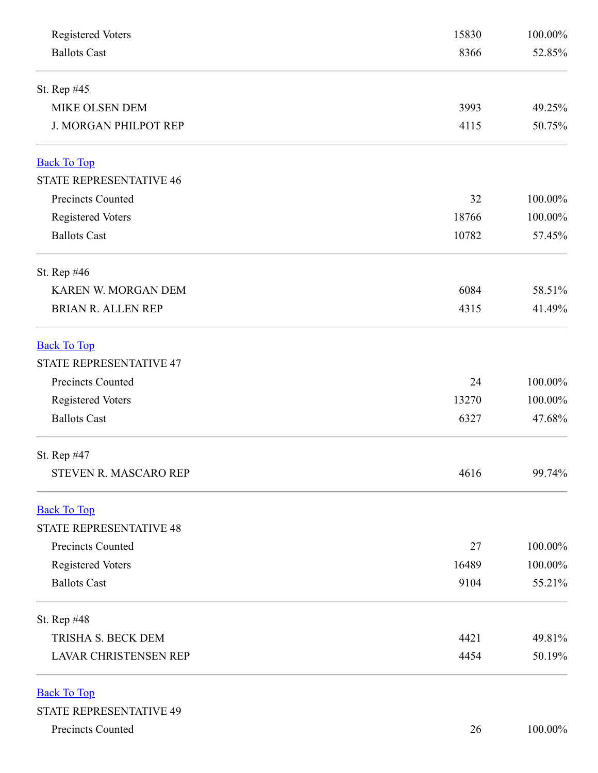<span id="page-11-3"></span><span id="page-11-2"></span><span id="page-11-1"></span><span id="page-11-0"></span>

| Registered Voters              | 15830 | 100.00% |
|--------------------------------|-------|---------|
| <b>Ballots Cast</b>            | 8366  | 52.85%  |
| St. Rep #45                    |       |         |
| MIKE OLSEN DEM                 | 3993  | 49.25%  |
| J. MORGAN PHILPOT REP          | 4115  | 50.75%  |
| <b>Back To Top</b>             |       |         |
| <b>STATE REPRESENTATIVE 46</b> |       |         |
| Precincts Counted              | 32    | 100.00% |
| Registered Voters              | 18766 | 100.00% |
| <b>Ballots Cast</b>            | 10782 | 57.45%  |
| St. Rep #46                    |       |         |
| KAREN W. MORGAN DEM            | 6084  | 58.51%  |
| <b>BRIAN R. ALLEN REP</b>      | 4315  | 41.49%  |
| <b>Back To Top</b>             |       |         |
| STATE REPRESENTATIVE 47        |       |         |
| <b>Precincts Counted</b>       | 24    | 100.00% |
| <b>Registered Voters</b>       | 13270 | 100.00% |
| <b>Ballots Cast</b>            | 6327  | 47.68%  |
| St. Rep #47                    |       |         |
| <b>STEVEN R. MASCARO REP</b>   | 4616  | 99.74%  |
| <b>Back To Top</b>             |       |         |
| STATE REPRESENTATIVE 48        |       |         |
| Precincts Counted              | 27    | 100.00% |
| Registered Voters              | 16489 | 100.00% |
| <b>Ballots Cast</b>            | 9104  | 55.21%  |
| St. Rep #48                    |       |         |
| TRISHA S. BECK DEM             | 4421  | 49.81%  |
| <b>LAVAR CHRISTENSEN REP</b>   | 4454  | 50.19%  |
| <b>Back To Top</b>             |       |         |
| <b>STATE REPRESENTATIVE 49</b> |       |         |
| Precincts Counted              | 26    | 100.00% |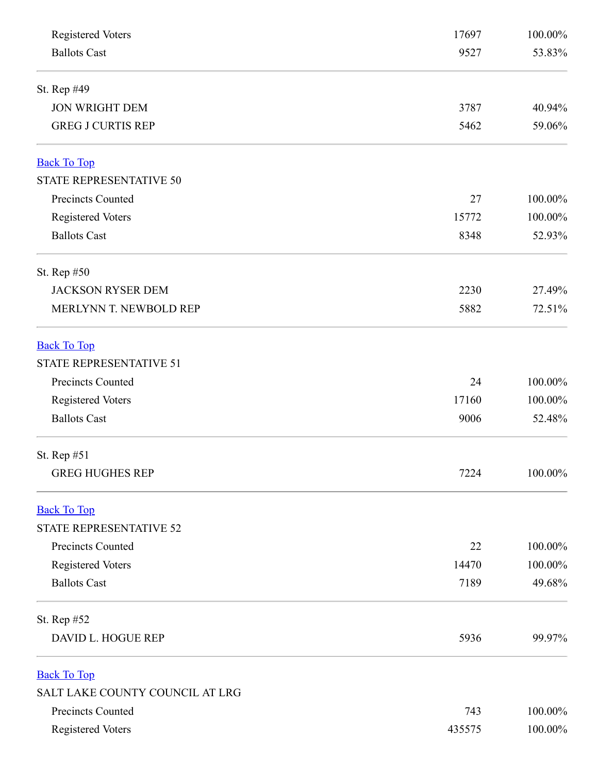<span id="page-12-3"></span><span id="page-12-2"></span><span id="page-12-1"></span><span id="page-12-0"></span>

| Registered Voters               | 17697  | 100.00% |
|---------------------------------|--------|---------|
| <b>Ballots Cast</b>             | 9527   | 53.83%  |
| St. Rep #49                     |        |         |
| <b>JON WRIGHT DEM</b>           | 3787   | 40.94%  |
| <b>GREG J CURTIS REP</b>        | 5462   | 59.06%  |
| <b>Back To Top</b>              |        |         |
| STATE REPRESENTATIVE 50         |        |         |
| Precincts Counted               | 27     | 100.00% |
| Registered Voters               | 15772  | 100.00% |
| <b>Ballots Cast</b>             | 8348   | 52.93%  |
| St. Rep #50                     |        |         |
| <b>JACKSON RYSER DEM</b>        | 2230   | 27.49%  |
| MERLYNN T. NEWBOLD REP          | 5882   | 72.51%  |
| <b>Back To Top</b>              |        |         |
| STATE REPRESENTATIVE 51         |        |         |
| Precincts Counted               | 24     | 100.00% |
| Registered Voters               | 17160  | 100.00% |
| <b>Ballots Cast</b>             | 9006   | 52.48%  |
| St. Rep #51                     |        |         |
| <b>GREG HUGHES REP</b>          | 7224   | 100.00% |
| <b>Back To Top</b>              |        |         |
| STATE REPRESENTATIVE 52         |        |         |
| Precincts Counted               | 22     | 100.00% |
| Registered Voters               | 14470  | 100.00% |
| <b>Ballots Cast</b>             | 7189   | 49.68%  |
| St. Rep #52                     |        |         |
| DAVID L. HOGUE REP              | 5936   | 99.97%  |
| <b>Back To Top</b>              |        |         |
| SALT LAKE COUNTY COUNCIL AT LRG |        |         |
| Precincts Counted               | 743    | 100.00% |
| Registered Voters               | 435575 | 100.00% |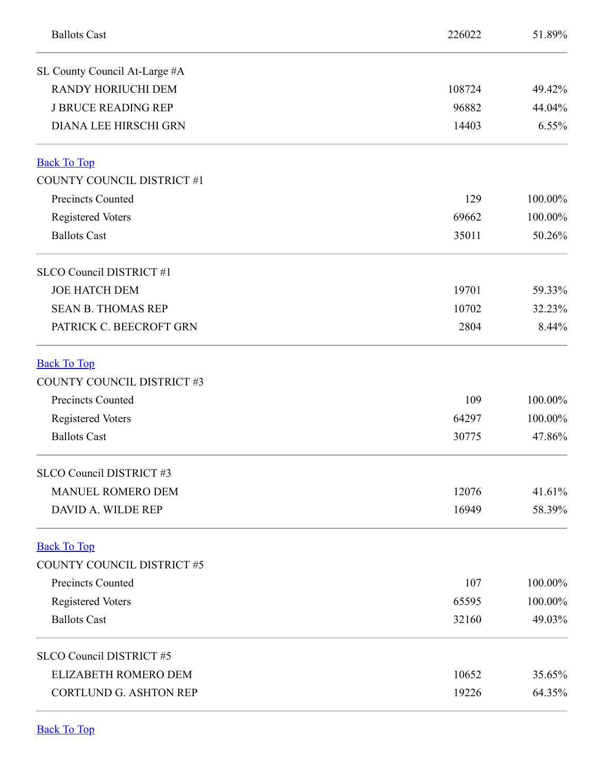<span id="page-13-3"></span><span id="page-13-2"></span><span id="page-13-1"></span><span id="page-13-0"></span>

| <b>Ballots Cast</b>               | 226022 | 51.89%  |
|-----------------------------------|--------|---------|
| SL County Council At-Large #A     |        |         |
| <b>RANDY HORIUCHI DEM</b>         | 108724 | 49.42%  |
| <b>J BRUCE READING REP</b>        | 96882  | 44.04%  |
| <b>DIANA LEE HIRSCHI GRN</b>      | 14403  | 6.55%   |
| <b>Back To Top</b>                |        |         |
| COUNTY COUNCIL DISTRICT #1        |        |         |
| Precincts Counted                 | 129    | 100.00% |
| <b>Registered Voters</b>          | 69662  | 100.00% |
| <b>Ballots Cast</b>               | 35011  | 50.26%  |
| SLCO Council DISTRICT #1          |        |         |
| <b>JOE HATCH DEM</b>              | 19701  | 59.33%  |
| <b>SEAN B. THOMAS REP</b>         | 10702  | 32.23%  |
| PATRICK C. BEECROFT GRN           | 2804   | 8.44%   |
| <b>Back To Top</b>                |        |         |
| <b>COUNTY COUNCIL DISTRICT #3</b> |        |         |
| Precincts Counted                 | 109    | 100.00% |
| <b>Registered Voters</b>          | 64297  | 100.00% |
| <b>Ballots Cast</b>               | 30775  | 47.86%  |
| SLCO Council DISTRICT #3          |        |         |
| <b>MANUEL ROMERO DEM</b>          | 12076  | 41.61%  |
| DAVID A. WILDE REP                | 16949  | 58.39%  |
| <b>Back To Top</b>                |        |         |
| COUNTY COUNCIL DISTRICT #5        |        |         |
| Precincts Counted                 | 107    | 100.00% |
| <b>Registered Voters</b>          | 65595  | 100.00% |
| <b>Ballots Cast</b>               | 32160  | 49.03%  |
| SLCO Council DISTRICT #5          |        |         |
| ELIZABETH ROMERO DEM              | 10652  | 35.65%  |
| <b>CORTLUND G. ASHTON REP</b>     | 19226  | 64.35%  |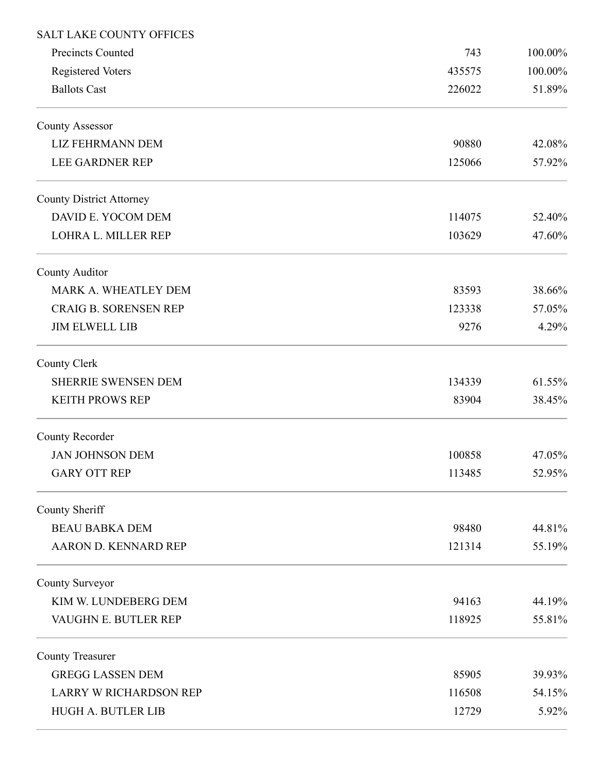| <b>SALT LAKE COUNTY OFFICES</b> |        |         |
|---------------------------------|--------|---------|
| Precincts Counted               | 743    | 100.00% |
| <b>Registered Voters</b>        | 435575 | 100.00% |
| <b>Ballots Cast</b>             | 226022 | 51.89%  |
| <b>County Assessor</b>          |        |         |
| <b>LIZ FEHRMANN DEM</b>         | 90880  | 42.08%  |
| <b>LEE GARDNER REP</b>          | 125066 | 57.92%  |
| <b>County District Attorney</b> |        |         |
| DAVID E. YOCOM DEM              | 114075 | 52.40%  |
| LOHRA L. MILLER REP             | 103629 | 47.60%  |
| County Auditor                  |        |         |
| MARK A. WHEATLEY DEM            | 83593  | 38.66%  |
| <b>CRAIG B. SORENSEN REP</b>    | 123338 | 57.05%  |
| <b>JIM ELWELL LIB</b>           | 9276   | 4.29%   |
| <b>County Clerk</b>             |        |         |
| SHERRIE SWENSEN DEM             | 134339 | 61.55%  |
| <b>KEITH PROWS REP</b>          | 83904  | 38.45%  |
| <b>County Recorder</b>          |        |         |
| <b>JAN JOHNSON DEM</b>          | 100858 | 47.05%  |
| <b>GARY OTT REP</b>             | 113485 | 52.95%  |
| County Sheriff                  |        |         |
| <b>BEAU BABKA DEM</b>           | 98480  | 44.81%  |
| AARON D. KENNARD REP            | 121314 | 55.19%  |
| <b>County Surveyor</b>          |        |         |
| KIM W. LUNDEBERG DEM            | 94163  | 44.19%  |
| VAUGHN E. BUTLER REP            | 118925 | 55.81%  |
| <b>County Treasurer</b>         |        |         |
| <b>GREGG LASSEN DEM</b>         | 85905  | 39.93%  |
| <b>LARRY W RICHARDSON REP</b>   | 116508 | 54.15%  |
| HUGH A. BUTLER LIB              | 12729  | 5.92%   |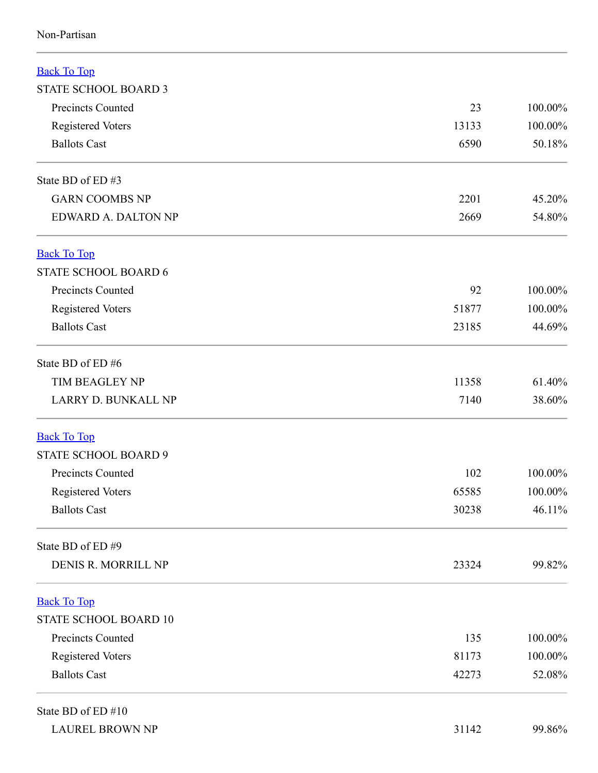<span id="page-15-3"></span><span id="page-15-2"></span><span id="page-15-1"></span><span id="page-15-0"></span>

| <b>Back To Top</b>           |       |         |
|------------------------------|-------|---------|
| <b>STATE SCHOOL BOARD 3</b>  |       |         |
| Precincts Counted            | 23    | 100.00% |
| Registered Voters            | 13133 | 100.00% |
| <b>Ballots Cast</b>          | 6590  | 50.18%  |
| State BD of ED#3             |       |         |
| <b>GARN COOMBS NP</b>        | 2201  | 45.20%  |
| <b>EDWARD A. DALTON NP</b>   | 2669  | 54.80%  |
| <b>Back To Top</b>           |       |         |
| <b>STATE SCHOOL BOARD 6</b>  |       |         |
| <b>Precincts Counted</b>     | 92    | 100.00% |
| Registered Voters            | 51877 | 100.00% |
| <b>Ballots Cast</b>          | 23185 | 44.69%  |
| State BD of ED #6            |       |         |
| <b>TIM BEAGLEY NP</b>        | 11358 | 61.40%  |
| LARRY D. BUNKALL NP          | 7140  | 38.60%  |
| <b>Back To Top</b>           |       |         |
| <b>STATE SCHOOL BOARD 9</b>  |       |         |
| Precincts Counted            | 102   | 100.00% |
| <b>Registered Voters</b>     | 65585 | 100.00% |
| <b>Ballots Cast</b>          | 30238 | 46.11%  |
| State BD of ED #9            |       |         |
| DENIS R. MORRILL NP          | 23324 | 99.82%  |
| <b>Back To Top</b>           |       |         |
| <b>STATE SCHOOL BOARD 10</b> |       |         |
| Precincts Counted            | 135   | 100.00% |
| Registered Voters            | 81173 | 100.00% |
| <b>Ballots Cast</b>          | 42273 | 52.08%  |
| State BD of ED #10           |       |         |
| <b>LAUREL BROWN NP</b>       | 31142 | 99.86%  |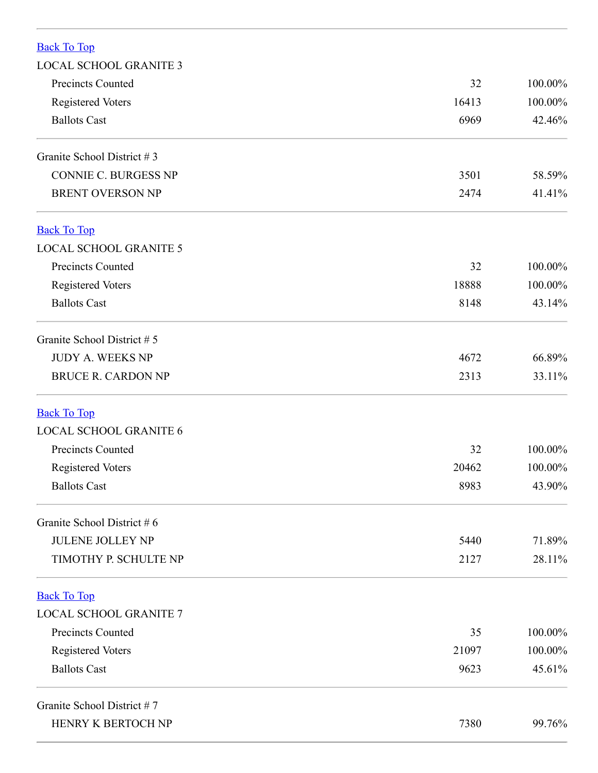<span id="page-16-3"></span><span id="page-16-2"></span><span id="page-16-1"></span><span id="page-16-0"></span>

| <b>Back To Top</b>            |       |         |
|-------------------------------|-------|---------|
| <b>LOCAL SCHOOL GRANITE 3</b> |       |         |
| Precincts Counted             | 32    | 100.00% |
| <b>Registered Voters</b>      | 16413 | 100.00% |
| <b>Ballots Cast</b>           | 6969  | 42.46%  |
| Granite School District #3    |       |         |
| CONNIE C. BURGESS NP          | 3501  | 58.59%  |
| <b>BRENT OVERSON NP</b>       | 2474  | 41.41%  |
| <b>Back To Top</b>            |       |         |
| <b>LOCAL SCHOOL GRANITE 5</b> |       |         |
| Precincts Counted             | 32    | 100.00% |
| <b>Registered Voters</b>      | 18888 | 100.00% |
| <b>Ballots Cast</b>           | 8148  | 43.14%  |
| Granite School District # 5   |       |         |
| <b>JUDY A. WEEKS NP</b>       | 4672  | 66.89%  |
| <b>BRUCE R. CARDON NP</b>     | 2313  | 33.11%  |
| <b>Back To Top</b>            |       |         |
| <b>LOCAL SCHOOL GRANITE 6</b> |       |         |
| Precincts Counted             | 32    | 100.00% |
| <b>Registered Voters</b>      | 20462 | 100.00% |
| <b>Ballots Cast</b>           | 8983  | 43.90%  |
| Granite School District # 6   |       |         |
| <b>JULENE JOLLEY NP</b>       | 5440  | 71.89%  |
| TIMOTHY P. SCHULTE NP         | 2127  | 28.11%  |
| <b>Back To Top</b>            |       |         |
| <b>LOCAL SCHOOL GRANITE 7</b> |       |         |
| <b>Precincts Counted</b>      | 35    | 100.00% |
| <b>Registered Voters</b>      | 21097 | 100.00% |
| <b>Ballots Cast</b>           | 9623  | 45.61%  |
| Granite School District #7    |       |         |
| HENRY K BERTOCH NP            | 7380  | 99.76%  |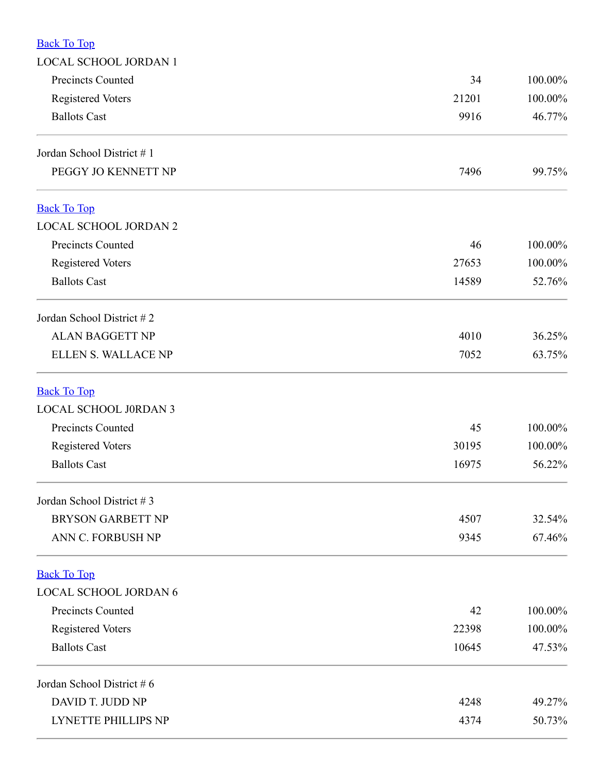<span id="page-17-3"></span><span id="page-17-2"></span><span id="page-17-1"></span><span id="page-17-0"></span>

| <b>Back To Top</b>           |       |         |
|------------------------------|-------|---------|
| <b>LOCAL SCHOOL JORDAN 1</b> |       |         |
| Precincts Counted            | 34    | 100.00% |
| Registered Voters            | 21201 | 100.00% |
| <b>Ballots Cast</b>          | 9916  | 46.77%  |
| Jordan School District #1    |       |         |
| PEGGY JO KENNETT NP          | 7496  | 99.75%  |
| <b>Back To Top</b>           |       |         |
| <b>LOCAL SCHOOL JORDAN 2</b> |       |         |
| <b>Precincts Counted</b>     | 46    | 100.00% |
| <b>Registered Voters</b>     | 27653 | 100.00% |
| <b>Ballots Cast</b>          | 14589 | 52.76%  |
| Jordan School District #2    |       |         |
| <b>ALAN BAGGETT NP</b>       | 4010  | 36.25%  |
| <b>ELLEN S. WALLACE NP</b>   | 7052  | 63.75%  |
| <b>Back To Top</b>           |       |         |
| <b>LOCAL SCHOOL JORDAN 3</b> |       |         |
| Precincts Counted            | 45    | 100.00% |
| <b>Registered Voters</b>     | 30195 | 100.00% |
| <b>Ballots Cast</b>          | 16975 | 56.22%  |
| Jordan School District #3    |       |         |
| <b>BRYSON GARBETT NP</b>     | 4507  | 32.54%  |
| ANN C. FORBUSH NP            | 9345  | 67.46%  |
| <b>Back To Top</b>           |       |         |
| <b>LOCAL SCHOOL JORDAN 6</b> |       |         |
| Precincts Counted            | 42    | 100.00% |
| <b>Registered Voters</b>     | 22398 | 100.00% |
| <b>Ballots Cast</b>          | 10645 | 47.53%  |
| Jordan School District #6    |       |         |
| DAVID T. JUDD NP             | 4248  | 49.27%  |
| LYNETTE PHILLIPS NP          | 4374  | 50.73%  |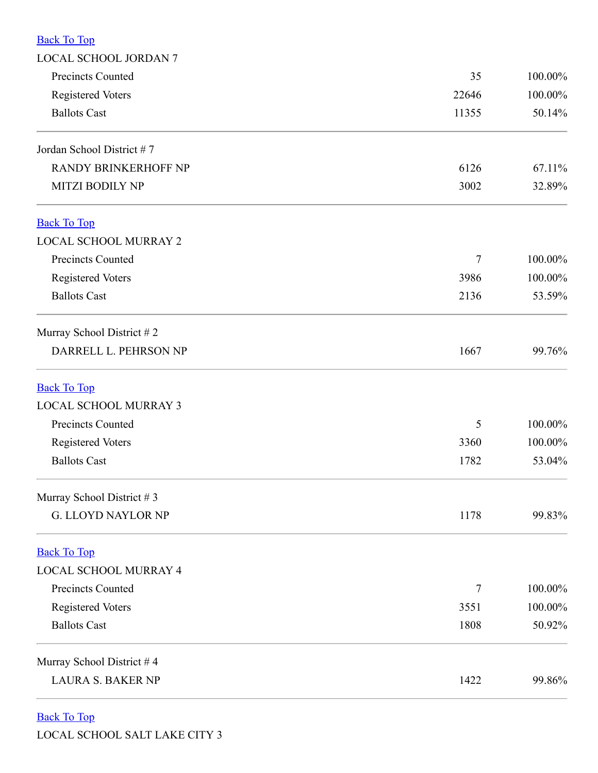<span id="page-18-4"></span><span id="page-18-3"></span><span id="page-18-2"></span><span id="page-18-1"></span><span id="page-18-0"></span>

| <b>Back To Top</b>           |       |         |
|------------------------------|-------|---------|
| <b>LOCAL SCHOOL JORDAN 7</b> |       |         |
| Precincts Counted            | 35    | 100.00% |
| Registered Voters            | 22646 | 100.00% |
| <b>Ballots Cast</b>          | 11355 | 50.14%  |
| Jordan School District #7    |       |         |
| <b>RANDY BRINKERHOFF NP</b>  | 6126  | 67.11%  |
| <b>MITZI BODILY NP</b>       | 3002  | 32.89%  |
| <b>Back To Top</b>           |       |         |
| <b>LOCAL SCHOOL MURRAY 2</b> |       |         |
| Precincts Counted            | 7     | 100.00% |
| Registered Voters            | 3986  | 100.00% |
| <b>Ballots Cast</b>          | 2136  | 53.59%  |
| Murray School District #2    |       |         |
| DARRELL L. PEHRSON NP        | 1667  | 99.76%  |
| <b>Back To Top</b>           |       |         |
| <b>LOCAL SCHOOL MURRAY 3</b> |       |         |
| <b>Precincts Counted</b>     | 5     | 100.00% |
| <b>Registered Voters</b>     | 3360  | 100.00% |
| <b>Ballots Cast</b>          | 1782  | 53.04%  |
| Murray School District #3    |       |         |
| <b>G. LLOYD NAYLOR NP</b>    | 1178  | 99.83%  |
| <b>Back To Top</b>           |       |         |
| LOCAL SCHOOL MURRAY 4        |       |         |
| Precincts Counted            | 7     | 100.00% |
| Registered Voters            | 3551  | 100.00% |
| <b>Ballots Cast</b>          | 1808  | 50.92%  |
| Murray School District #4    |       |         |
| <b>LAURA S. BAKER NP</b>     | 1422  | 99.86%  |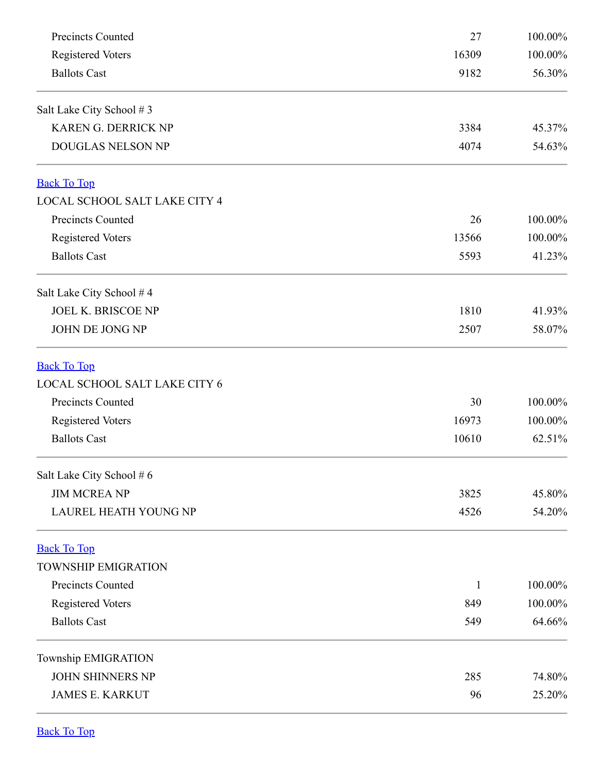<span id="page-19-1"></span><span id="page-19-0"></span>

| Precincts Counted             | 27    | 100.00% |  |
|-------------------------------|-------|---------|--|
| <b>Registered Voters</b>      | 16309 | 100.00% |  |
| <b>Ballots Cast</b>           | 9182  | 56.30%  |  |
| Salt Lake City School #3      |       |         |  |
| KAREN G. DERRICK NP           | 3384  | 45.37%  |  |
| DOUGLAS NELSON NP             | 4074  | 54.63%  |  |
| <b>Back To Top</b>            |       |         |  |
| LOCAL SCHOOL SALT LAKE CITY 4 |       |         |  |
| Precincts Counted             | 26    | 100.00% |  |
| <b>Registered Voters</b>      | 13566 | 100.00% |  |
| <b>Ballots Cast</b>           | 5593  | 41.23%  |  |
| Salt Lake City School #4      |       |         |  |
| <b>JOEL K. BRISCOE NP</b>     | 1810  | 41.93%  |  |
| JOHN DE JONG NP               | 2507  | 58.07%  |  |
| <b>Back To Top</b>            |       |         |  |
| LOCAL SCHOOL SALT LAKE CITY 6 |       |         |  |
| Precincts Counted             | 30    | 100.00% |  |
| <b>Registered Voters</b>      | 16973 | 100.00% |  |
| <b>Ballots Cast</b>           | 10610 | 62.51%  |  |
| Salt Lake City School # 6     |       |         |  |
| <b>JIM MCREA NP</b>           | 3825  | 45.80%  |  |
| LAUREL HEATH YOUNG NP         | 4526  | 54.20%  |  |
| <b>Back To Top</b>            |       |         |  |
| <b>TOWNSHIP EMIGRATION</b>    |       |         |  |
| Precincts Counted             | 1     | 100.00% |  |
| Registered Voters             | 849   | 100.00% |  |
| <b>Ballots Cast</b>           | 549   | 64.66%  |  |
| Township EMIGRATION           |       |         |  |
| <b>JOHN SHINNERS NP</b>       | 285   | 74.80%  |  |
| <b>JAMES E. KARKUT</b>        | 96    | 25.20%  |  |

<span id="page-19-3"></span><span id="page-19-2"></span>Back To Top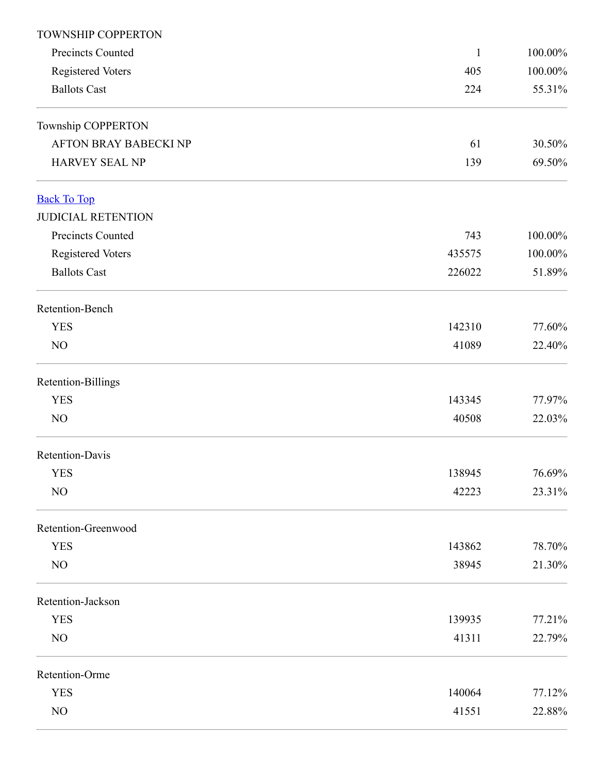<span id="page-20-0"></span>

| <b>TOWNSHIP COPPERTON</b>    |              |         |
|------------------------------|--------------|---------|
| Precincts Counted            | $\mathbf{1}$ | 100.00% |
| <b>Registered Voters</b>     | 405          | 100.00% |
| <b>Ballots Cast</b>          | 224          | 55.31%  |
| Township COPPERTON           |              |         |
| <b>AFTON BRAY BABECKI NP</b> | 61           | 30.50%  |
| <b>HARVEY SEAL NP</b>        | 139          | 69.50%  |
| <b>Back To Top</b>           |              |         |
| <b>JUDICIAL RETENTION</b>    |              |         |
| Precincts Counted            | 743          | 100.00% |
| Registered Voters            | 435575       | 100.00% |
| <b>Ballots Cast</b>          | 226022       | 51.89%  |
| Retention-Bench              |              |         |
| <b>YES</b>                   | 142310       | 77.60%  |
| NO                           | 41089        | 22.40%  |
| Retention-Billings           |              |         |
| <b>YES</b>                   | 143345       | 77.97%  |
| NO                           | 40508        | 22.03%  |
| Retention-Davis              |              |         |
| <b>YES</b>                   | 138945       | 76.69%  |
| NO                           | 42223        | 23.31%  |
| Retention-Greenwood          |              |         |
| <b>YES</b>                   | 143862       | 78.70%  |
| NO                           | 38945        | 21.30%  |
| Retention-Jackson            |              |         |
| <b>YES</b>                   | 139935       | 77.21%  |
| NO                           | 41311        | 22.79%  |
| Retention-Orme               |              |         |
| <b>YES</b>                   | 140064       | 77.12%  |
| NO                           | 41551        | 22.88%  |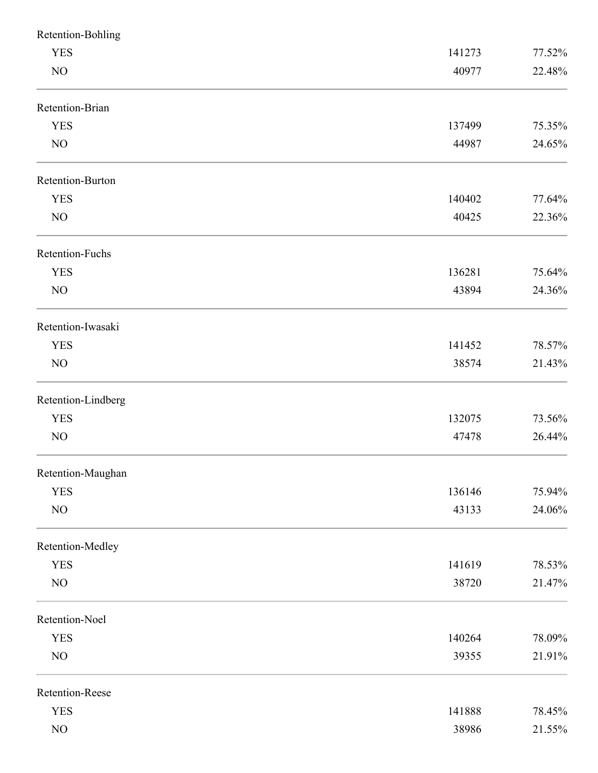| Retention-Bohling  |        |        |
|--------------------|--------|--------|
| <b>YES</b>         | 141273 | 77.52% |
| NO                 | 40977  | 22.48% |
| Retention-Brian    |        |        |
| <b>YES</b>         | 137499 | 75.35% |
| NO                 | 44987  | 24.65% |
| Retention-Burton   |        |        |
| <b>YES</b>         | 140402 | 77.64% |
| NO                 | 40425  | 22.36% |
| Retention-Fuchs    |        |        |
| <b>YES</b>         | 136281 | 75.64% |
| NO                 | 43894  | 24.36% |
| Retention-Iwasaki  |        |        |
| <b>YES</b>         | 141452 | 78.57% |
| NO                 | 38574  | 21.43% |
| Retention-Lindberg |        |        |
| <b>YES</b>         | 132075 | 73.56% |
| NO                 | 47478  | 26.44% |
| Retention-Maughan  |        |        |
| <b>YES</b>         | 136146 | 75.94% |
| NO                 | 43133  | 24.06% |
| Retention-Medley   |        |        |
| <b>YES</b>         | 141619 | 78.53% |
| NO                 | 38720  | 21.47% |
| Retention-Noel     |        |        |
| <b>YES</b>         | 140264 | 78.09% |
| NO                 | 39355  | 21.91% |
| Retention-Reese    |        |        |
| <b>YES</b>         | 141888 | 78.45% |
| $\rm NO$           | 38986  | 21.55% |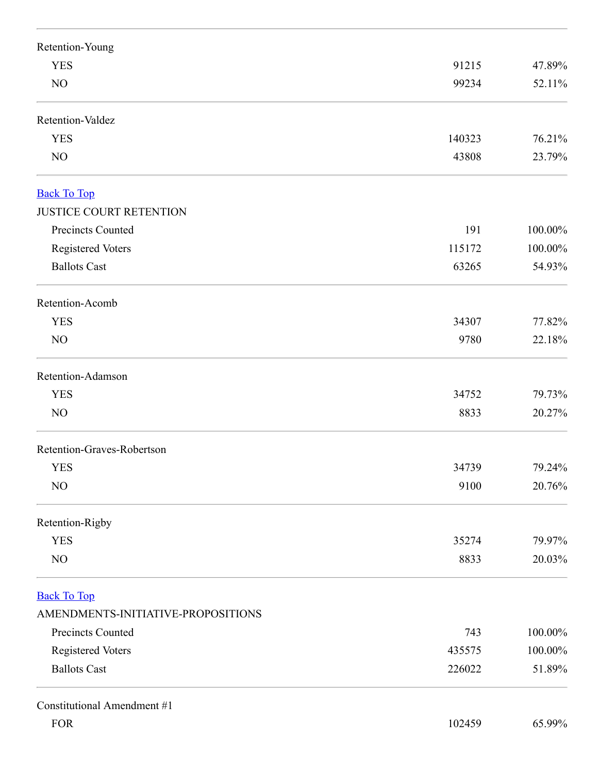<span id="page-22-1"></span><span id="page-22-0"></span>

| Retention-Young                    |        |         |
|------------------------------------|--------|---------|
| <b>YES</b>                         | 91215  | 47.89%  |
| NO                                 | 99234  | 52.11%  |
| Retention-Valdez                   |        |         |
| <b>YES</b>                         | 140323 | 76.21%  |
| N <sub>O</sub>                     | 43808  | 23.79%  |
| <b>Back To Top</b>                 |        |         |
| <b>JUSTICE COURT RETENTION</b>     |        |         |
| Precincts Counted                  | 191    | 100.00% |
| <b>Registered Voters</b>           | 115172 | 100.00% |
| <b>Ballots Cast</b>                | 63265  | 54.93%  |
| Retention-Acomb                    |        |         |
| <b>YES</b>                         | 34307  | 77.82%  |
| NO                                 | 9780   | 22.18%  |
| Retention-Adamson                  |        |         |
| <b>YES</b>                         | 34752  | 79.73%  |
| NO                                 | 8833   | 20.27%  |
| Retention-Graves-Robertson         |        |         |
| <b>YES</b>                         | 34739  | 79.24%  |
| NO                                 | 9100   | 20.76%  |
| Retention-Rigby                    |        |         |
| <b>YES</b>                         | 35274  | 79.97%  |
| NO                                 | 8833   | 20.03%  |
| <b>Back To Top</b>                 |        |         |
| AMENDMENTS-INITIATIVE-PROPOSITIONS |        |         |
| Precincts Counted                  | 743    | 100.00% |
| Registered Voters                  | 435575 | 100.00% |
| <b>Ballots Cast</b>                | 226022 | 51.89%  |
| Constitutional Amendment #1        |        |         |
| <b>FOR</b>                         | 102459 | 65.99%  |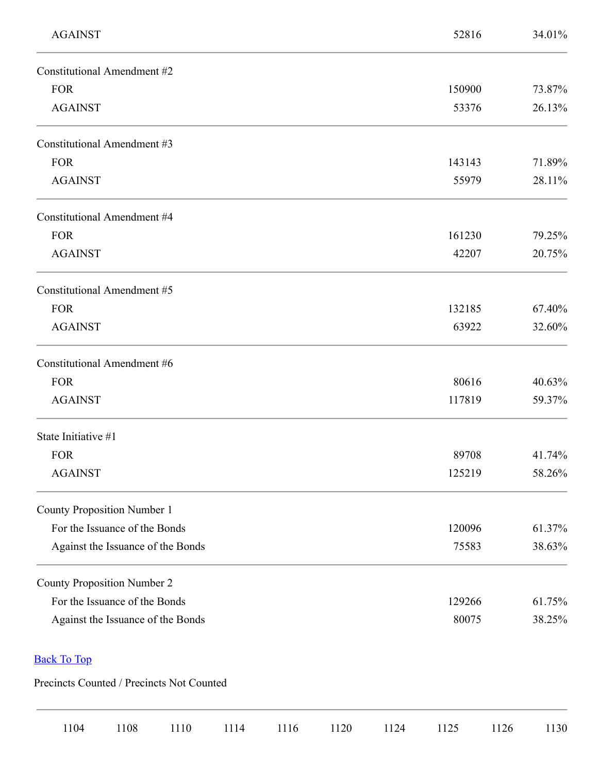<span id="page-23-0"></span>

| <b>AGAINST</b>                            |      |      |      | 52816  |      | 34.01% |
|-------------------------------------------|------|------|------|--------|------|--------|
| <b>Constitutional Amendment #2</b>        |      |      |      |        |      |        |
| <b>FOR</b>                                |      |      |      | 150900 |      | 73.87% |
| <b>AGAINST</b>                            |      |      |      | 53376  |      | 26.13% |
| Constitutional Amendment #3               |      |      |      |        |      |        |
| <b>FOR</b>                                |      |      |      | 143143 |      | 71.89% |
| <b>AGAINST</b>                            |      |      |      | 55979  |      | 28.11% |
| <b>Constitutional Amendment #4</b>        |      |      |      |        |      |        |
| <b>FOR</b>                                |      |      |      | 161230 |      | 79.25% |
| <b>AGAINST</b>                            |      |      |      | 42207  |      | 20.75% |
| Constitutional Amendment #5               |      |      |      |        |      |        |
| <b>FOR</b>                                |      |      |      | 132185 |      | 67.40% |
| <b>AGAINST</b>                            |      |      |      | 63922  |      | 32.60% |
| Constitutional Amendment #6               |      |      |      |        |      |        |
| <b>FOR</b>                                |      |      |      | 80616  |      | 40.63% |
| <b>AGAINST</b>                            |      |      |      | 117819 |      | 59.37% |
| State Initiative #1                       |      |      |      |        |      |        |
| <b>FOR</b>                                |      |      |      | 89708  |      | 41.74% |
| <b>AGAINST</b>                            |      |      |      | 125219 |      | 58.26% |
| <b>County Proposition Number 1</b>        |      |      |      |        |      |        |
| For the Issuance of the Bonds             |      |      |      | 120096 |      | 61.37% |
| Against the Issuance of the Bonds         |      |      |      | 75583  |      | 38.63% |
| <b>County Proposition Number 2</b>        |      |      |      |        |      |        |
| For the Issuance of the Bonds             |      |      |      | 129266 |      | 61.75% |
| Against the Issuance of the Bonds         |      |      |      | 80075  |      | 38.25% |
| <b>Back To Top</b>                        |      |      |      |        |      |        |
| Precincts Counted / Precincts Not Counted |      |      |      |        |      |        |
| 1104<br>1110<br>1114<br>1108              | 1116 | 1120 | 1124 | 1125   | 1126 | 1130   |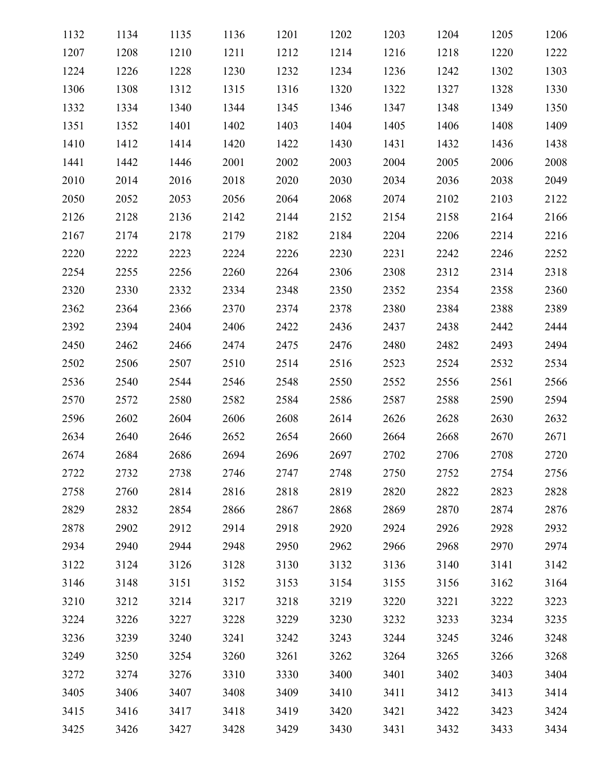| 1132 | 1134 | 1135 | 1136 | 1201 | 1202 | 1203 | 1204 | 1205 | 1206 |
|------|------|------|------|------|------|------|------|------|------|
| 1207 | 1208 | 1210 | 1211 | 1212 | 1214 | 1216 | 1218 | 1220 | 1222 |
| 1224 | 1226 | 1228 | 1230 | 1232 | 1234 | 1236 | 1242 | 1302 | 1303 |
| 1306 | 1308 | 1312 | 1315 | 1316 | 1320 | 1322 | 1327 | 1328 | 1330 |
| 1332 | 1334 | 1340 | 1344 | 1345 | 1346 | 1347 | 1348 | 1349 | 1350 |
| 1351 | 1352 | 1401 | 1402 | 1403 | 1404 | 1405 | 1406 | 1408 | 1409 |
| 1410 | 1412 | 1414 | 1420 | 1422 | 1430 | 1431 | 1432 | 1436 | 1438 |
| 1441 | 1442 | 1446 | 2001 | 2002 | 2003 | 2004 | 2005 | 2006 | 2008 |
| 2010 | 2014 | 2016 | 2018 | 2020 | 2030 | 2034 | 2036 | 2038 | 2049 |
| 2050 | 2052 | 2053 | 2056 | 2064 | 2068 | 2074 | 2102 | 2103 | 2122 |
| 2126 | 2128 | 2136 | 2142 | 2144 | 2152 | 2154 | 2158 | 2164 | 2166 |
| 2167 | 2174 | 2178 | 2179 | 2182 | 2184 | 2204 | 2206 | 2214 | 2216 |
| 2220 | 2222 | 2223 | 2224 | 2226 | 2230 | 2231 | 2242 | 2246 | 2252 |
| 2254 | 2255 | 2256 | 2260 | 2264 | 2306 | 2308 | 2312 | 2314 | 2318 |
| 2320 | 2330 | 2332 | 2334 | 2348 | 2350 | 2352 | 2354 | 2358 | 2360 |
| 2362 | 2364 | 2366 | 2370 | 2374 | 2378 | 2380 | 2384 | 2388 | 2389 |
| 2392 | 2394 | 2404 | 2406 | 2422 | 2436 | 2437 | 2438 | 2442 | 2444 |
| 2450 | 2462 | 2466 | 2474 | 2475 | 2476 | 2480 | 2482 | 2493 | 2494 |
| 2502 | 2506 | 2507 | 2510 | 2514 | 2516 | 2523 | 2524 | 2532 | 2534 |
| 2536 | 2540 | 2544 | 2546 | 2548 | 2550 | 2552 | 2556 | 2561 | 2566 |
| 2570 | 2572 | 2580 | 2582 | 2584 | 2586 | 2587 | 2588 | 2590 | 2594 |
| 2596 | 2602 | 2604 | 2606 | 2608 | 2614 | 2626 | 2628 | 2630 | 2632 |
| 2634 | 2640 | 2646 | 2652 | 2654 | 2660 | 2664 | 2668 | 2670 | 2671 |
| 2674 | 2684 | 2686 | 2694 | 2696 | 2697 | 2702 | 2706 | 2708 | 2720 |
| 2722 | 2732 | 2738 | 2746 | 2747 | 2748 | 2750 | 2752 | 2754 | 2756 |
| 2758 | 2760 | 2814 | 2816 | 2818 | 2819 | 2820 | 2822 | 2823 | 2828 |
| 2829 | 2832 | 2854 | 2866 | 2867 | 2868 | 2869 | 2870 | 2874 | 2876 |
| 2878 | 2902 | 2912 | 2914 | 2918 | 2920 | 2924 | 2926 | 2928 | 2932 |
| 2934 | 2940 | 2944 | 2948 | 2950 | 2962 | 2966 | 2968 | 2970 | 2974 |
| 3122 | 3124 | 3126 | 3128 | 3130 | 3132 | 3136 | 3140 | 3141 | 3142 |
| 3146 | 3148 | 3151 | 3152 | 3153 | 3154 | 3155 | 3156 | 3162 | 3164 |
| 3210 | 3212 | 3214 | 3217 | 3218 | 3219 | 3220 | 3221 | 3222 | 3223 |
| 3224 | 3226 | 3227 | 3228 | 3229 | 3230 | 3232 | 3233 | 3234 | 3235 |
| 3236 | 3239 | 3240 | 3241 | 3242 | 3243 | 3244 | 3245 | 3246 | 3248 |
| 3249 | 3250 | 3254 | 3260 | 3261 | 3262 | 3264 | 3265 | 3266 | 3268 |
| 3272 | 3274 | 3276 | 3310 | 3330 | 3400 | 3401 | 3402 | 3403 | 3404 |
| 3405 | 3406 | 3407 | 3408 | 3409 | 3410 | 3411 | 3412 | 3413 | 3414 |
| 3415 | 3416 | 3417 | 3418 | 3419 | 3420 | 3421 | 3422 | 3423 | 3424 |
| 3425 | 3426 | 3427 | 3428 | 3429 | 3430 | 3431 | 3432 | 3433 | 3434 |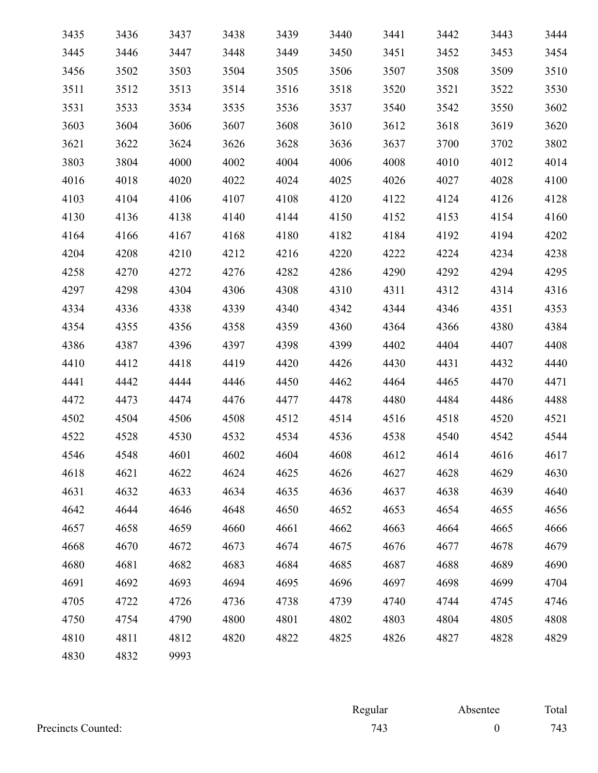| 3435 | 3436 | 3437 | 3438 | 3439 | 3440 | 3441 | 3442 | 3443 | 3444 |
|------|------|------|------|------|------|------|------|------|------|
| 3445 | 3446 | 3447 | 3448 | 3449 | 3450 | 3451 | 3452 | 3453 | 3454 |
| 3456 | 3502 | 3503 | 3504 | 3505 | 3506 | 3507 | 3508 | 3509 | 3510 |
| 3511 | 3512 | 3513 | 3514 | 3516 | 3518 | 3520 | 3521 | 3522 | 3530 |
| 3531 | 3533 | 3534 | 3535 | 3536 | 3537 | 3540 | 3542 | 3550 | 3602 |
| 3603 | 3604 | 3606 | 3607 | 3608 | 3610 | 3612 | 3618 | 3619 | 3620 |
| 3621 | 3622 | 3624 | 3626 | 3628 | 3636 | 3637 | 3700 | 3702 | 3802 |
| 3803 | 3804 | 4000 | 4002 | 4004 | 4006 | 4008 | 4010 | 4012 | 4014 |
| 4016 | 4018 | 4020 | 4022 | 4024 | 4025 | 4026 | 4027 | 4028 | 4100 |
| 4103 | 4104 | 4106 | 4107 | 4108 | 4120 | 4122 | 4124 | 4126 | 4128 |
| 4130 | 4136 | 4138 | 4140 | 4144 | 4150 | 4152 | 4153 | 4154 | 4160 |
| 4164 | 4166 | 4167 | 4168 | 4180 | 4182 | 4184 | 4192 | 4194 | 4202 |
| 4204 | 4208 | 4210 | 4212 | 4216 | 4220 | 4222 | 4224 | 4234 | 4238 |
| 4258 | 4270 | 4272 | 4276 | 4282 | 4286 | 4290 | 4292 | 4294 | 4295 |
| 4297 | 4298 | 4304 | 4306 | 4308 | 4310 | 4311 | 4312 | 4314 | 4316 |
| 4334 | 4336 | 4338 | 4339 | 4340 | 4342 | 4344 | 4346 | 4351 | 4353 |
| 4354 | 4355 | 4356 | 4358 | 4359 | 4360 | 4364 | 4366 | 4380 | 4384 |
| 4386 | 4387 | 4396 | 4397 | 4398 | 4399 | 4402 | 4404 | 4407 | 4408 |
| 4410 | 4412 | 4418 | 4419 | 4420 | 4426 | 4430 | 4431 | 4432 | 4440 |
| 4441 | 4442 | 4444 | 4446 | 4450 | 4462 | 4464 | 4465 | 4470 | 4471 |
| 4472 | 4473 | 4474 | 4476 | 4477 | 4478 | 4480 | 4484 | 4486 | 4488 |
| 4502 | 4504 | 4506 | 4508 | 4512 | 4514 | 4516 | 4518 | 4520 | 4521 |
| 4522 | 4528 | 4530 | 4532 | 4534 | 4536 | 4538 | 4540 | 4542 | 4544 |
| 4546 | 4548 | 4601 | 4602 | 4604 | 4608 | 4612 | 4614 | 4616 | 4617 |
| 4618 | 4621 | 4622 | 4624 | 4625 | 4626 | 4627 | 4628 | 4629 | 4630 |
| 4631 | 4632 | 4633 | 4634 | 4635 | 4636 | 4637 | 4638 | 4639 | 4640 |
| 4642 | 4644 | 4646 | 4648 | 4650 | 4652 | 4653 | 4654 | 4655 | 4656 |
| 4657 | 4658 | 4659 | 4660 | 4661 | 4662 | 4663 | 4664 | 4665 | 4666 |
| 4668 | 4670 | 4672 | 4673 | 4674 | 4675 | 4676 | 4677 | 4678 | 4679 |
| 4680 | 4681 | 4682 | 4683 | 4684 | 4685 | 4687 | 4688 | 4689 | 4690 |
| 4691 | 4692 | 4693 | 4694 | 4695 | 4696 | 4697 | 4698 | 4699 | 4704 |
| 4705 | 4722 | 4726 | 4736 | 4738 | 4739 | 4740 | 4744 | 4745 | 4746 |
| 4750 | 4754 | 4790 | 4800 | 4801 | 4802 | 4803 | 4804 | 4805 | 4808 |
| 4810 | 4811 | 4812 | 4820 | 4822 | 4825 | 4826 | 4827 | 4828 | 4829 |
| 4830 | 4832 | 9993 |      |      |      |      |      |      |      |

|                    | Regular | Absentee | Total |
|--------------------|---------|----------|-------|
| Precincts Counted: | 743     |          | 743   |